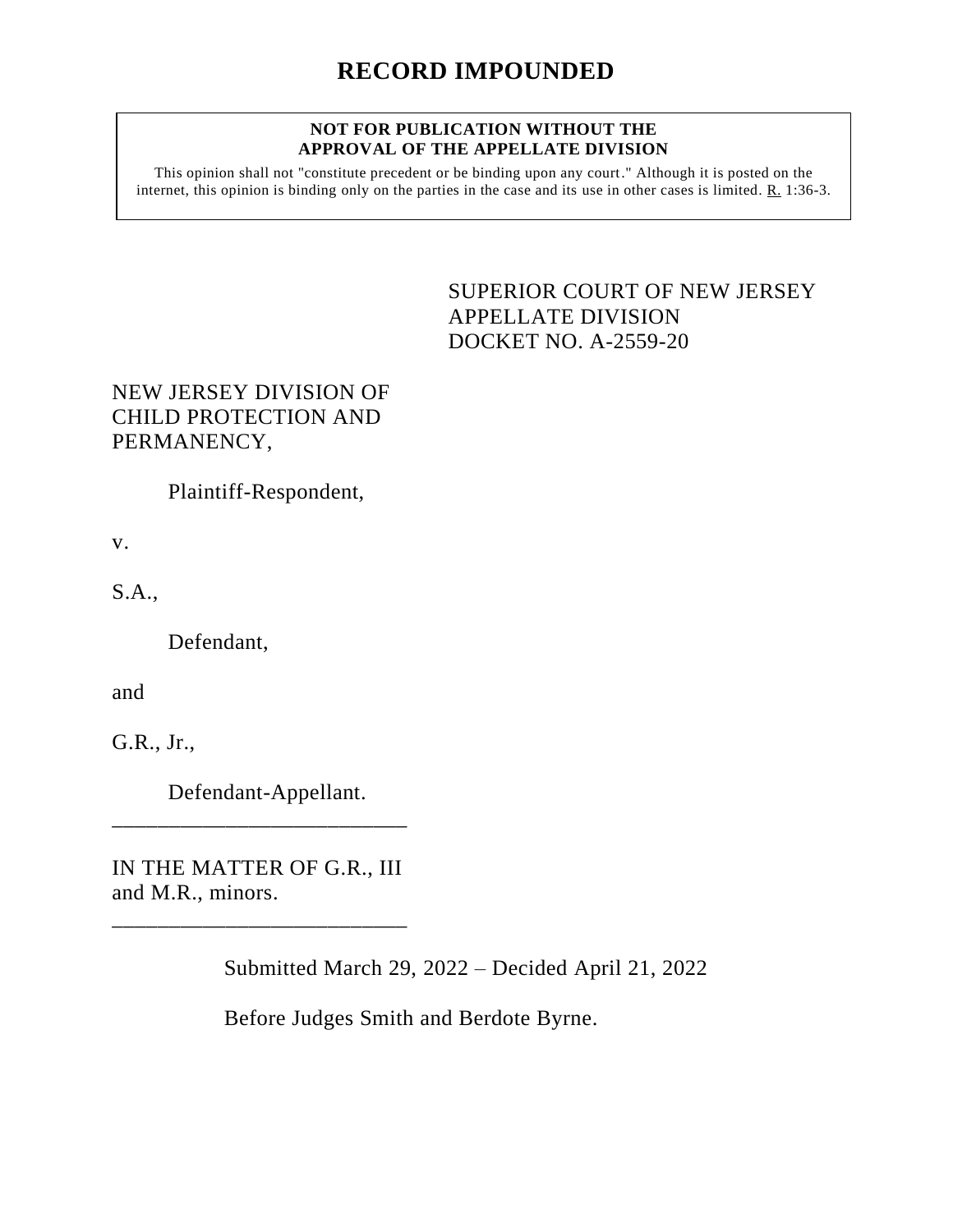## **NOT FOR PUBLICATION WITHOUT THE APPROVAL OF THE APPELLATE DIVISION**

This opinion shall not "constitute precedent or be binding upon any court." Although it is posted on the internet, this opinion is binding only on the parties in the case and its use in other cases is limited. R. 1:36-3.

> <span id="page-0-0"></span>SUPERIOR COURT OF NEW JERSEY APPELLATE DIVISION DOCKET NO. A-2559-20

## NEW JERSEY DIVISION OF CHILD PROTECTION AND PERMANENCY,

Plaintiff-Respondent,

v.

S.A.,

Defendant,

and

G.R., Jr.,

Defendant-Appellant.

IN THE MATTER OF G.R., III and M.R., minors.

\_\_\_\_\_\_\_\_\_\_\_\_\_\_\_\_\_\_\_\_\_\_\_\_\_\_

\_\_\_\_\_\_\_\_\_\_\_\_\_\_\_\_\_\_\_\_\_\_\_\_\_\_

Submitted March 29, 2022 – Decided April 21, 2022

Before Judges Smith and Berdote Byrne.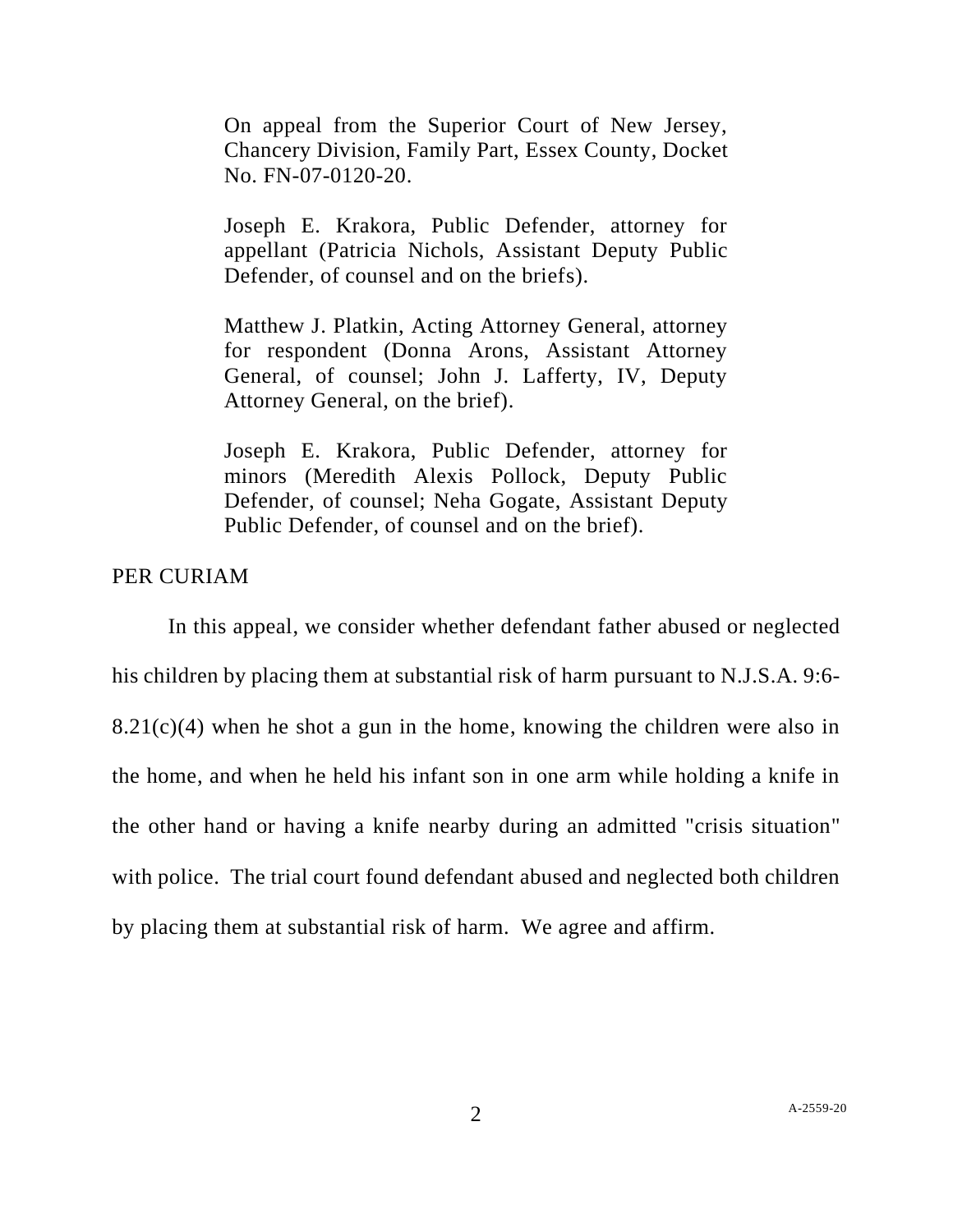On appeal from the Superior Court of New Jersey, Chancery Division, Family Part, Essex County, Docket No. FN-07-0120-20.

Joseph E. Krakora, Public Defender, attorney for appellant (Patricia Nichols, Assistant Deputy Public Defender, of counsel and on the briefs).

Matthew J. Platkin, Acting Attorney General, attorney for respondent (Donna Arons, Assistant Attorney General, of counsel; John J. Lafferty, IV, Deputy Attorney General, on the brief).

Joseph E. Krakora, Public Defender, attorney for minors (Meredith Alexis Pollock, Deputy Public Defender, of counsel; Neha Gogate, Assistant Deputy Public Defender, of counsel and on the brief).

## PER CURIAM

In this appeal, we consider whether defendant father abused or neglected his children by placing them at substantial risk of harm pursuant to [N.J.S.A.](http://www.lexis.com/research/buttonTFLink?_m=1cc55a29b9c605ba2f5df4bb2e9d2975&_xfercite=%3ccite%20cc%3d%22USA%22%3e%3c%21%5bCDATA%5b2012%20N.J.%20Super.%20Unpub.%20LEXIS%20213%5d%5d%3e%3c%2fcite%3e&_butType=4&_butStat=0&_butNum=18&_butInline=1&_butinfo=N.J.%20STAT.%20ANN.%209%3a6-8.21&_fmtstr=FULL&docnum=4&_startdoc=1&wchp=dGLbVzt-zSkAb&_md5=9e0be611cddcc236446ba3d2c719ffeb) 9:6-  $8.21(c)(4)$  when he shot a gun in the home, knowing the children were also in the home, and when he held his infant son in one arm while holding a knife in the other hand or having a knife nearby during an admitted "crisis situation" with police. The trial court found defendant abused and neglected both children by placing them at substantial risk of harm. We agree and affirm.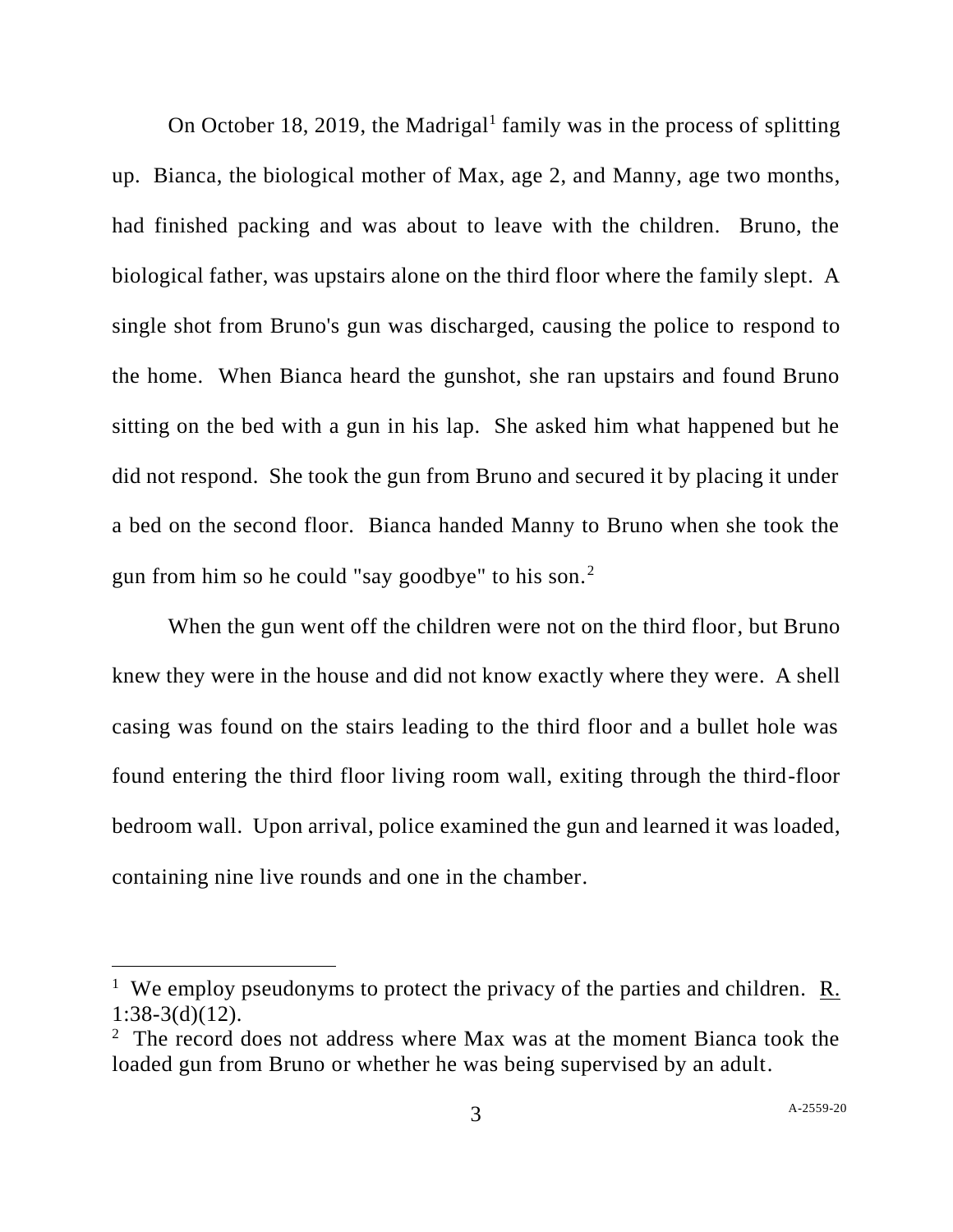On October 18, 2019, the Madrigal<sup>1</sup> family was in the process of splitting up. Bianca, the biological mother of Max, age 2, and Manny, age two months, had finished packing and was about to leave with the children. Bruno, the biological father, was upstairs alone on the third floor where the family slept. A single shot from Bruno's gun was discharged, causing the police to respond to the home. When Bianca heard the gunshot, she ran upstairs and found Bruno sitting on the bed with a gun in his lap. She asked him what happened but he did not respond. She took the gun from Bruno and secured it by placing it under a bed on the second floor. Bianca handed Manny to Bruno when she took the gun from him so he could "say goodbye" to his son. $2$ 

When the gun went off the children were not on the third floor, but Bruno knew they were in the house and did not know exactly where they were. A shell casing was found on the stairs leading to the third floor and a bullet hole was found entering the third floor living room wall, exiting through the third-floor bedroom wall. Upon arrival, police examined the gun and learned it was loaded, containing nine live rounds and one in the chamber.

<sup>&</sup>lt;sup>1</sup> We employ pseudonyms to protect the privacy of the parties and children. R. 1:38-3(d)(12).

<sup>&</sup>lt;sup>2</sup> The record does not address where Max was at the moment Bianca took the loaded gun from Bruno or whether he was being supervised by an adult.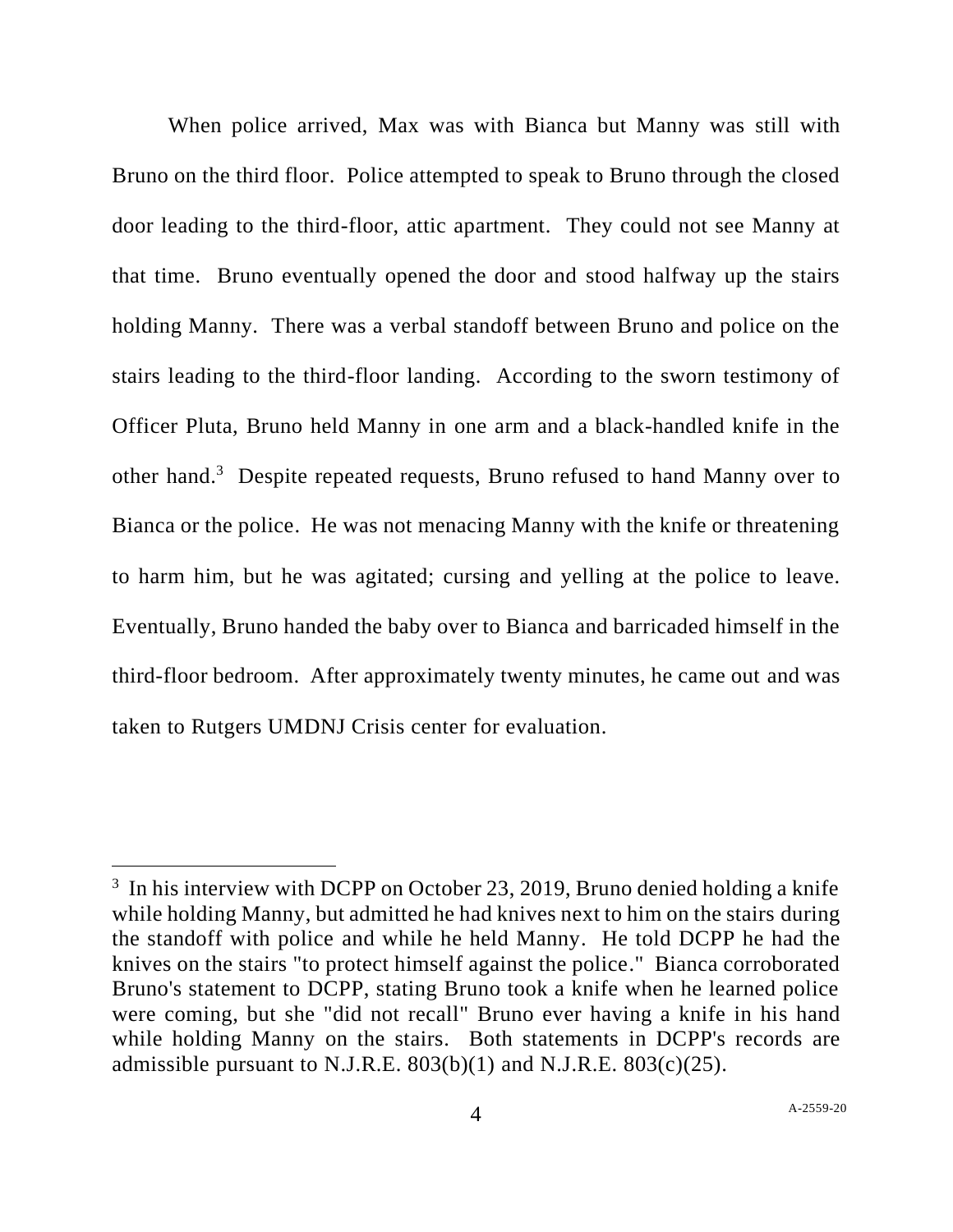When police arrived, Max was with Bianca but Manny was still with Bruno on the third floor. Police attempted to speak to Bruno through the closed door leading to the third-floor, attic apartment. They could not see Manny at that time. Bruno eventually opened the door and stood halfway up the stairs holding Manny. There was a verbal standoff between Bruno and police on the stairs leading to the third-floor landing. According to the sworn testimony of Officer Pluta, Bruno held Manny in one arm and a black-handled knife in the other hand.<sup>3</sup> Despite repeated requests, Bruno refused to hand Manny over to Bianca or the police. He was not menacing Manny with the knife or threatening to harm him, but he was agitated; cursing and yelling at the police to leave. Eventually, Bruno handed the baby over to Bianca and barricaded himself in the third-floor bedroom. After approximately twenty minutes, he came out and was taken to Rutgers UMDNJ Crisis center for evaluation.

 $3$  In his interview with DCPP on October 23, 2019, Bruno denied holding a knife while holding Manny, but admitted he had knives next to him on the stairs during the standoff with police and while he held Manny. He told DCPP he had the knives on the stairs "to protect himself against the police." Bianca corroborated Bruno's statement to DCPP, stating Bruno took a knife when he learned police were coming, but she "did not recall" Bruno ever having a knife in his hand while holding Manny on the stairs. Both statements in DCPP's records are admissible pursuant to N.J.R.E. 803(b)(1) and N.J.R.E. 803(c)(25).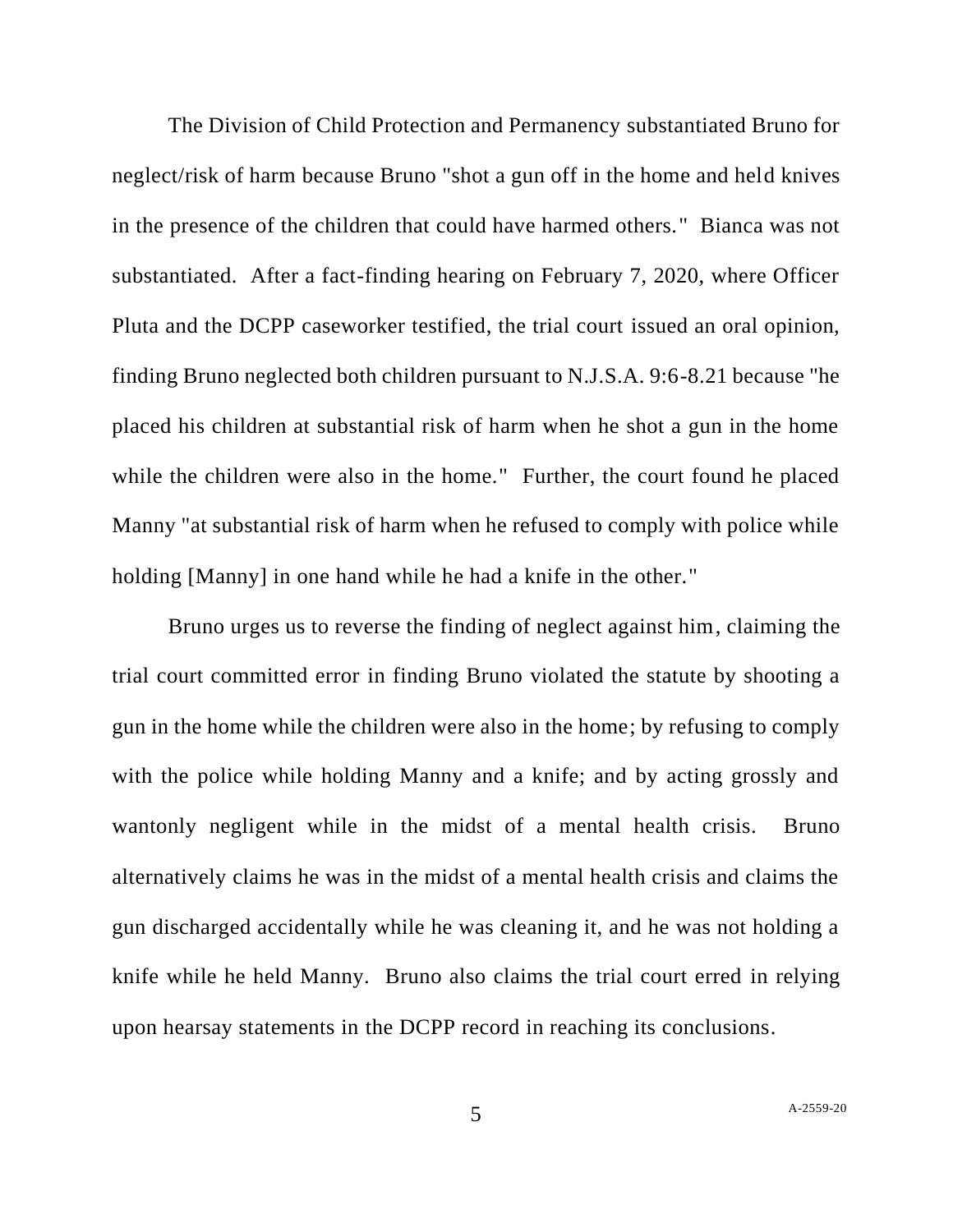The Division of Child Protection and Permanency substantiated Bruno for neglect/risk of harm because Bruno "shot a gun off in the home and held knives in the presence of the children that could have harmed others." Bianca was not substantiated. After a fact-finding hearing on February 7, 2020, where Officer Pluta and the DCPP caseworker testified, the trial court issued an oral opinion, finding Bruno neglected both children pursuant to N.J.S.A. 9:6-8.21 because "he placed his children at substantial risk of harm when he shot a gun in the home while the children were also in the home." Further, the court found he placed Manny "at substantial risk of harm when he refused to comply with police while holding [Manny] in one hand while he had a knife in the other."

Bruno urges us to reverse the finding of neglect against him, claiming the trial court committed error in finding Bruno violated the statute by shooting a gun in the home while the children were also in the home; by refusing to comply with the police while holding Manny and a knife; and by acting grossly and wantonly negligent while in the midst of a mental health crisis. Bruno alternatively claims he was in the midst of a mental health crisis and claims the gun discharged accidentally while he was cleaning it, and he was not holding a knife while he held Manny. Bruno also claims the trial court erred in relying upon hearsay statements in the DCPP record in reaching its conclusions.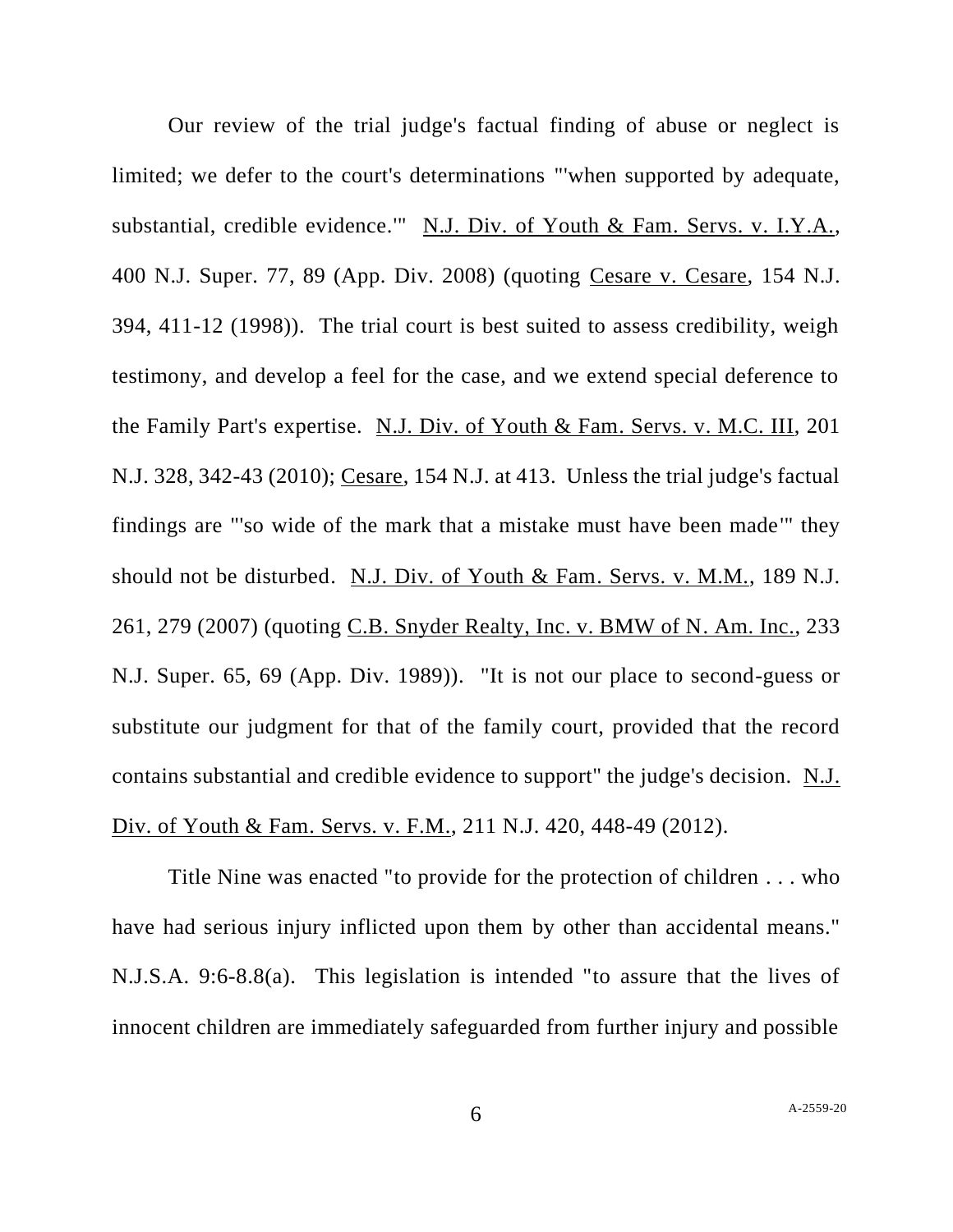Our review of the trial judge's factual finding of abuse or neglect is limited; we defer to the court's determinations "'when supported by adequate, substantial, credible evidence.'" N.J. Div. of Youth & Fam. Servs. v. I.Y.A., 400 N.J. Super. 77, 89 (App. Div. 2008) (quoting Cesare v. Cesare, 154 N.J. 394, 411-12 (1998)). The trial court is best suited to assess credibility, weigh testimony, and develop a feel for the case, and we extend special deference to the Family Part's expertise. N.J. Div. of Youth & Fam. Servs. v. M.C. III, 201 N.J. 328, 342-43 (2010); Cesare, 154 N.J. at 413. Unless the trial judge's factual findings are "'so wide of the mark that a mistake must have been made'" they should not be disturbed. N.J. Div. of Youth & Fam. Servs. v. M.M., 189 N.J. 261, 279 (2007) (quoting C.B. Snyder Realty, Inc. v. BMW of N. Am. Inc., 233 N.J. Super. 65, 69 (App. Div. 1989)). "It is not our place to second-guess or substitute our judgment for that of the family court, provided that the record contains substantial and credible evidence to support" the judge's decision. N.J. Div. of Youth & Fam. Servs. v. F.M., 211 N.J. 420, 448-49 (2012).

Title Nine was enacted "to provide for the protection of children . . . who have had serious injury inflicted upon them by other than accidental means." N.J.S.A. 9:6-8.8(a). This legislation is intended "to assure that the lives of innocent children are immediately safeguarded from further injury and possible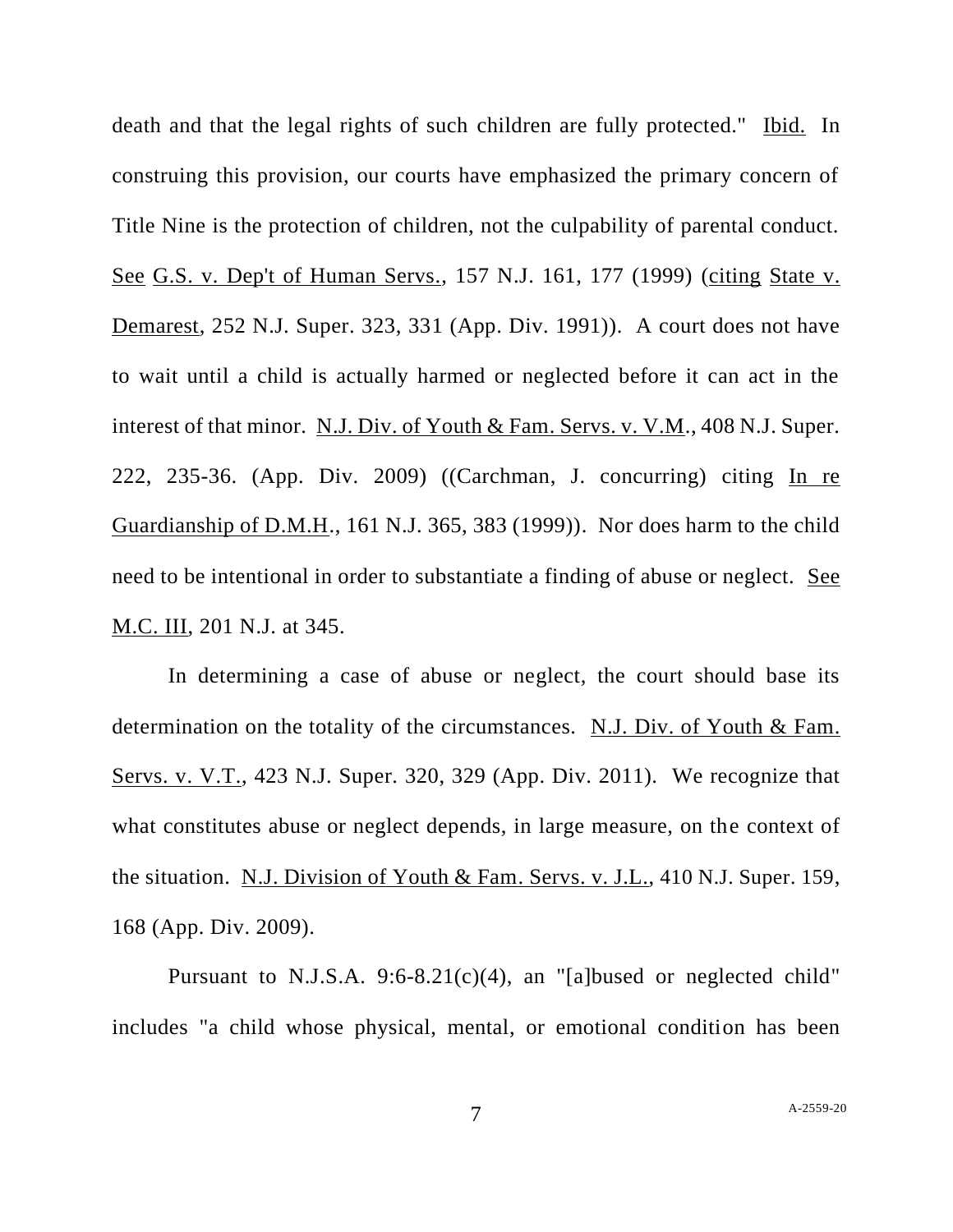death and that the legal rights of such children are fully protected." Ibid. In construing this provision, our courts have emphasized the primary concern of Title Nine is the protection of children, not the culpability of parental conduct. See G.S. v. Dep't of Human Servs., 157 N.J. 161, 177 (1999) (citing [State v.](http://www.lexis.com/research/buttonTFLink?_m=1cc55a29b9c605ba2f5df4bb2e9d2975&_xfercite=%3ccite%20cc%3d%22USA%22%3e%3c%21%5bCDATA%5b2012%20N.J.%20Super.%20Unpub.%20LEXIS%20213%5d%5d%3e%3c%2fcite%3e&_butType=3&_butStat=2&_butNum=19&_butInline=1&_butinfo=%3ccite%20cc%3d%22USA%22%3e%3c%21%5bCDATA%5b252%20N.J.%20Super.%20323%2c%20330%5d%5d%3e%3c%2fcite%3e&_fmtstr=FULL&docnum=4&_startdoc=1&wchp=dGLbVzt-zSkAb&_md5=85d79c004f27973042abea845d42ee5f)  [Demarest, 252 N.J. Super. 323, 331](http://www.lexis.com/research/buttonTFLink?_m=1cc55a29b9c605ba2f5df4bb2e9d2975&_xfercite=%3ccite%20cc%3d%22USA%22%3e%3c%21%5bCDATA%5b2012%20N.J.%20Super.%20Unpub.%20LEXIS%20213%5d%5d%3e%3c%2fcite%3e&_butType=3&_butStat=2&_butNum=19&_butInline=1&_butinfo=%3ccite%20cc%3d%22USA%22%3e%3c%21%5bCDATA%5b252%20N.J.%20Super.%20323%2c%20330%5d%5d%3e%3c%2fcite%3e&_fmtstr=FULL&docnum=4&_startdoc=1&wchp=dGLbVzt-zSkAb&_md5=85d79c004f27973042abea845d42ee5f) (App. Div. 1991)). A court does not have to wait until a child is actually harmed or neglected before it can act in the interest of that minor. N.J. Div. of Youth & Fam. Servs. v. V.M., 408 N.J. Super. 222, 235-36. (App. Div. 2009) ((Carchman, J. concurring) citing In re Guardianship of D.M.H., 161 N.J. 365, 383 (1999)). Nor does harm to the child need to be intentional in order to substantiate a finding of abuse or neglect. See M.C. III, 201 N.J. at 345.

In determining a case of abuse or neglect, the court should base its determination on the totality of the circumstances. N.J. Div. of Youth & Fam. Servs. v. V.T., 423 N.J. Super. 320, 329 (App. Div. 2011). We recognize that what constitutes abuse or neglect depends, in large measure, on the context of the situation. N.J. Division of Youth & Fam. Servs. v. J.L., 410 N.J. Super. 159, 168 (App. Div. 2009).

Pursuant to N.J.S.A. [9:6-8.21\(c\)\(4\),](http://www.lexis.com/research/buttonTFLink?_m=1cc55a29b9c605ba2f5df4bb2e9d2975&_xfercite=%3ccite%20cc%3d%22USA%22%3e%3c%21%5bCDATA%5b2012%20N.J.%20Super.%20Unpub.%20LEXIS%20213%5d%5d%3e%3c%2fcite%3e&_butType=4&_butStat=0&_butNum=18&_butInline=1&_butinfo=N.J.%20STAT.%20ANN.%209%3a6-8.21&_fmtstr=FULL&docnum=4&_startdoc=1&wchp=dGLbVzt-zSkAb&_md5=9e0be611cddcc236446ba3d2c719ffeb) an "[a]bused or neglected child" includes "a child whose physical, mental, or emotional condition has been

7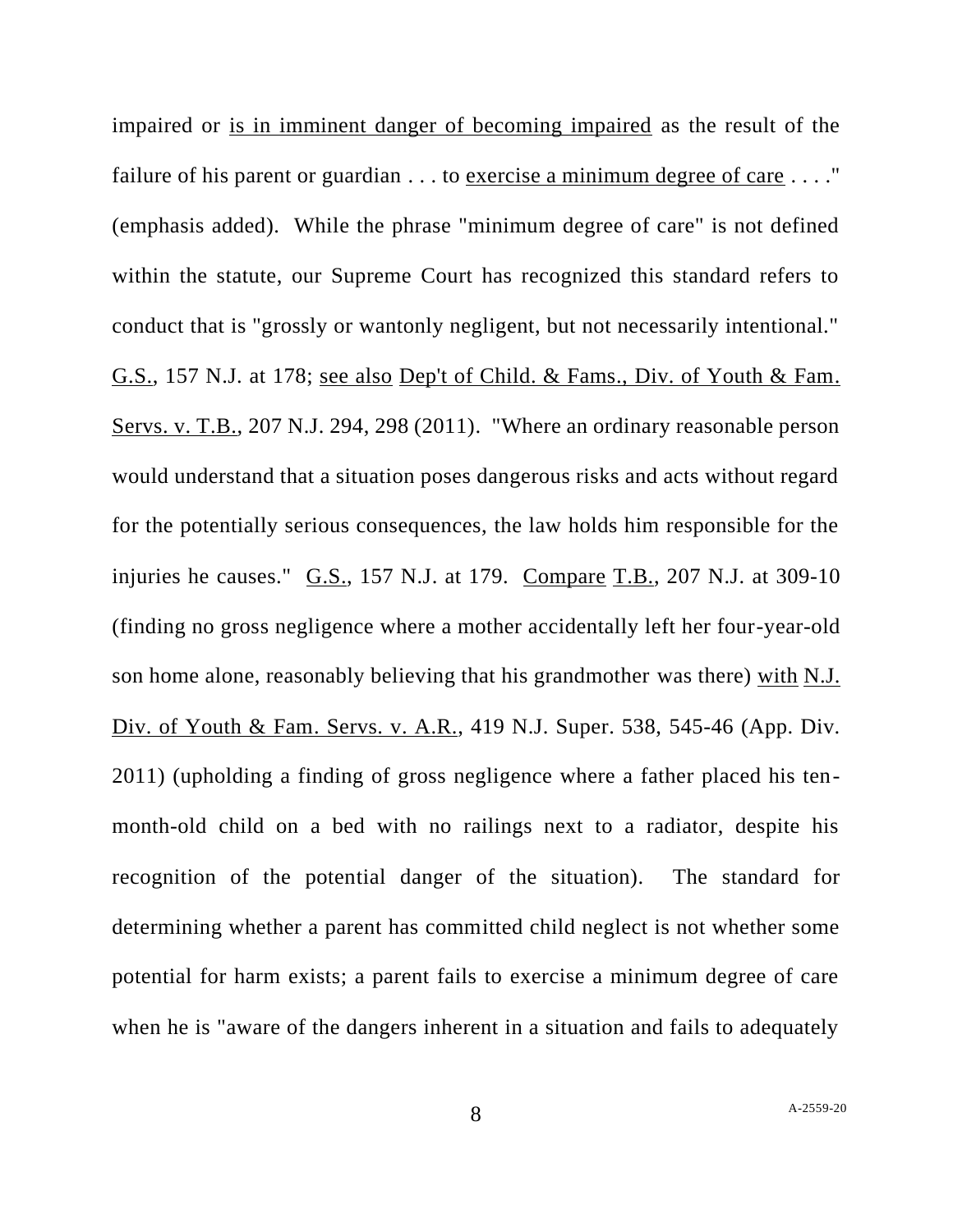impaired or is in imminent danger of becoming impaired as the result of the failure of his parent or guardian . . . to exercise a minimum degree of care . . . ." (emphasis added). While the phrase "minimum degree of care" is not defined within the statute, our Supreme Court has recognized this standard refers to conduct that is "grossly or wantonly negligent, but not necessarily intentional." G.S., 157 N.J. at 178; see also Dep't of Child. & Fams., Div. of Youth & Fam. Servs. v. T.B., 207 N.J. 294, 298 (2011). "Where an ordinary reasonable person would understand that a situation poses dangerous risks and acts without regard for the potentially serious consequences, the law holds him responsible for the injuries he causes." G.S., 157 N.J. at 179. Compare [T.B., 207 N.J.](http://www.lexis.com/research/buttonTFLink?_m=1cc55a29b9c605ba2f5df4bb2e9d2975&_xfercite=%3ccite%20cc%3d%22USA%22%3e%3c%21%5bCDATA%5b2012%20N.J.%20Super.%20Unpub.%20LEXIS%20213%5d%5d%3e%3c%2fcite%3e&_butType=3&_butStat=2&_butNum=24&_butInline=1&_butinfo=%3ccite%20cc%3d%22USA%22%3e%3c%21%5bCDATA%5b207%20N.J.%20294%2c%20309%5d%5d%3e%3c%2fcite%3e&_fmtstr=FULL&docnum=4&_startdoc=1&wchp=dGLbVzt-zSkAb&_md5=bc26a0ef53bc425dba6148fe33a96d0b) at 309-10 (finding no gross negligence where a mother accidentally left her four-year-old son home alone, reasonably believing that his grandmother was there) with [N.J.](http://www.lexis.com/research/buttonTFLink?_m=1cc55a29b9c605ba2f5df4bb2e9d2975&_xfercite=%3ccite%20cc%3d%22USA%22%3e%3c%21%5bCDATA%5b2012%20N.J.%20Super.%20Unpub.%20LEXIS%20213%5d%5d%3e%3c%2fcite%3e&_butType=3&_butStat=2&_butNum=25&_butInline=1&_butinfo=%3ccite%20cc%3d%22USA%22%3e%3c%21%5bCDATA%5b419%20N.J.%20Super.%20538%2c%20545%5d%5d%3e%3c%2fcite%3e&_fmtstr=FULL&docnum=4&_startdoc=1&wchp=dGLbVzt-zSkAb&_md5=5341c14b7855185941e1b4ab2c7e52fb)  Div. of Youth & Fam. [Servs. v. A.R., 419 N.J. Super. 538, 545-46](http://www.lexis.com/research/buttonTFLink?_m=1cc55a29b9c605ba2f5df4bb2e9d2975&_xfercite=%3ccite%20cc%3d%22USA%22%3e%3c%21%5bCDATA%5b2012%20N.J.%20Super.%20Unpub.%20LEXIS%20213%5d%5d%3e%3c%2fcite%3e&_butType=3&_butStat=2&_butNum=25&_butInline=1&_butinfo=%3ccite%20cc%3d%22USA%22%3e%3c%21%5bCDATA%5b419%20N.J.%20Super.%20538%2c%20545%5d%5d%3e%3c%2fcite%3e&_fmtstr=FULL&docnum=4&_startdoc=1&wchp=dGLbVzt-zSkAb&_md5=5341c14b7855185941e1b4ab2c7e52fb) (App. Div. [2011\)](http://www.lexis.com/research/buttonTFLink?_m=1cc55a29b9c605ba2f5df4bb2e9d2975&_xfercite=%3ccite%20cc%3d%22USA%22%3e%3c%21%5bCDATA%5b2012%20N.J.%20Super.%20Unpub.%20LEXIS%20213%5d%5d%3e%3c%2fcite%3e&_butType=3&_butStat=2&_butNum=25&_butInline=1&_butinfo=%3ccite%20cc%3d%22USA%22%3e%3c%21%5bCDATA%5b419%20N.J.%20Super.%20538%2c%20545%5d%5d%3e%3c%2fcite%3e&_fmtstr=FULL&docnum=4&_startdoc=1&wchp=dGLbVzt-zSkAb&_md5=5341c14b7855185941e1b4ab2c7e52fb) (upholding a finding of gross negligence where a father placed his tenmonth-old child on a bed with no railings next to a radiator, despite his recognition of the potential danger of the situation). The standard for determining whether a parent has committed child neglect is not whether some potential for harm exists; a parent fails to exercise a minimum degree of care when he is "aware of the dangers inherent in a situation and fails to adequately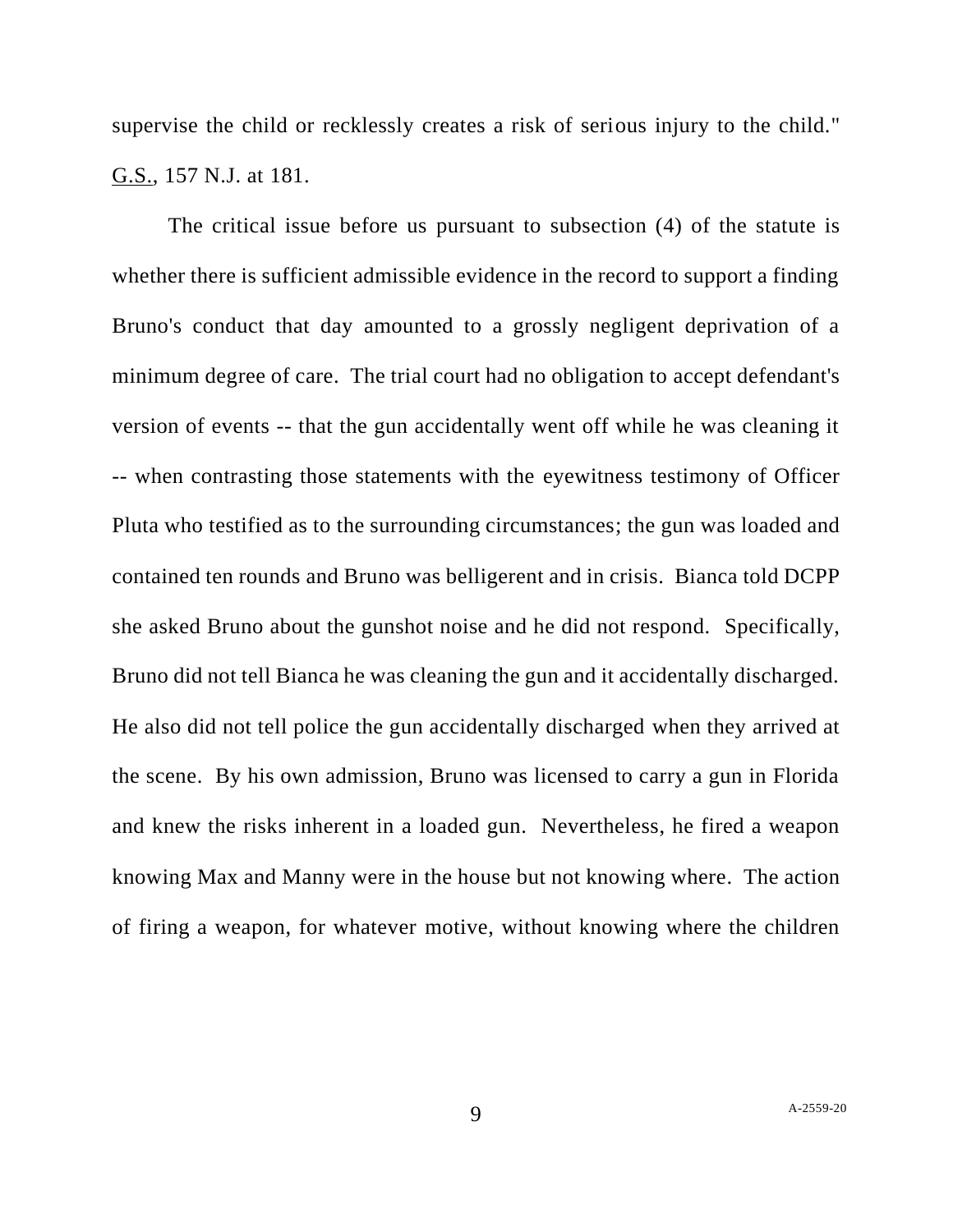supervise the child or recklessly creates a risk of serious injury to the child." G.S., 157 N.J. at 181.

The critical issue before us pursuant to [subsection \(4\)](http://www.lexis.com/research/buttonTFLink?_m=1cc55a29b9c605ba2f5df4bb2e9d2975&_xfercite=%3ccite%20cc%3d%22USA%22%3e%3c%21%5bCDATA%5b2012%20N.J.%20Super.%20Unpub.%20LEXIS%20213%5d%5d%3e%3c%2fcite%3e&_butType=4&_butStat=0&_butNum=28&_butInline=1&_butinfo=N.J.%20STAT.%20ANN.%209%3a6-8.21&_fmtstr=FULL&docnum=4&_startdoc=1&wchp=dGLbVzt-zSkAb&_md5=263ad5ea793f106242f96b5b466d23bb) of the statute is whether there is sufficient admissible evidence in the record to support a finding Bruno's conduct that day amounted to a grossly negligent deprivation of a minimum degree of care. The trial court had no obligation to accept defendant's version of events -- that the gun accidentally went off while he was cleaning it -- when contrasting those statements with the eyewitness testimony of Officer Pluta who testified as to the surrounding circumstances; the gun was loaded and contained ten rounds and Bruno was belligerent and in crisis. Bianca told DCPP she asked Bruno about the gunshot noise and he did not respond. Specifically, Bruno did not tell Bianca he was cleaning the gun and it accidentally discharged. He also did not tell police the gun accidentally discharged when they arrived at the scene. By his own admission, Bruno was licensed to carry a gun in Florida and knew the risks inherent in a loaded gun. Nevertheless, he fired a weapon knowing Max and Manny were in the house but not knowing where. The action of firing a weapon, for whatever motive, without knowing where the children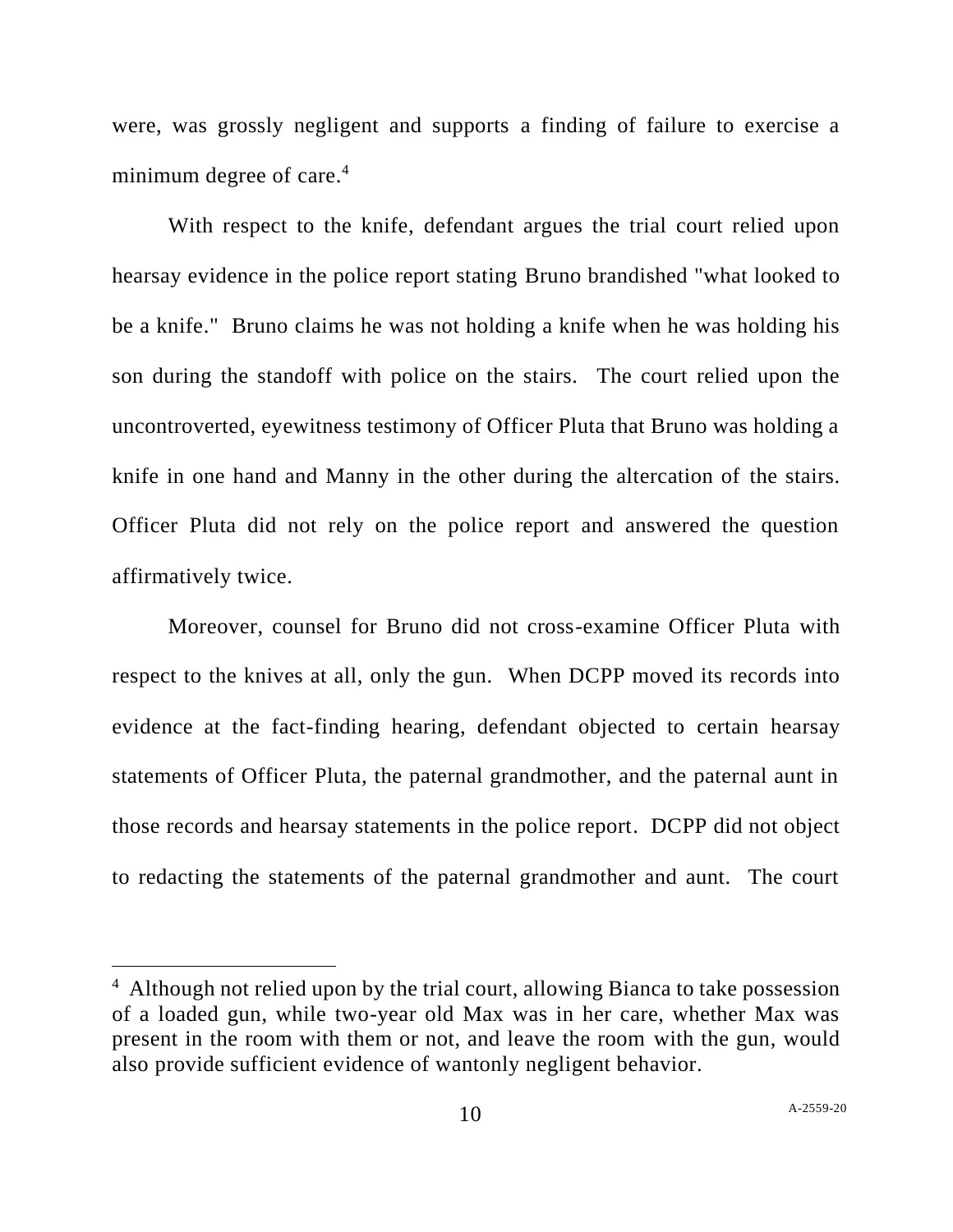were, was grossly negligent and supports a finding of failure to exercise a minimum degree of care.<sup>4</sup>

With respect to the knife, defendant argues the trial court relied upon hearsay evidence in the police report stating Bruno brandished "what looked to be a knife." Bruno claims he was not holding a knife when he was holding his son during the standoff with police on the stairs. The court relied upon the uncontroverted, eyewitness testimony of Officer Pluta that Bruno was holding a knife in one hand and Manny in the other during the altercation of the stairs. Officer Pluta did not rely on the police report and answered the question affirmatively twice.

Moreover, counsel for Bruno did not cross-examine Officer Pluta with respect to the knives at all, only the gun. When DCPP moved its records into evidence at the fact-finding hearing, defendant objected to certain hearsay statements of Officer Pluta, the paternal grandmother, and the paternal aunt in those records and hearsay statements in the police report. DCPP did not object to redacting the statements of the paternal grandmother and aunt. The court

<sup>&</sup>lt;sup>4</sup> Although not relied upon by the trial court, allowing Bianca to take possession of a loaded gun, while two-year old Max was in her care, whether Max was present in the room with them or not, and leave the room with the gun, would also provide sufficient evidence of wantonly negligent behavior.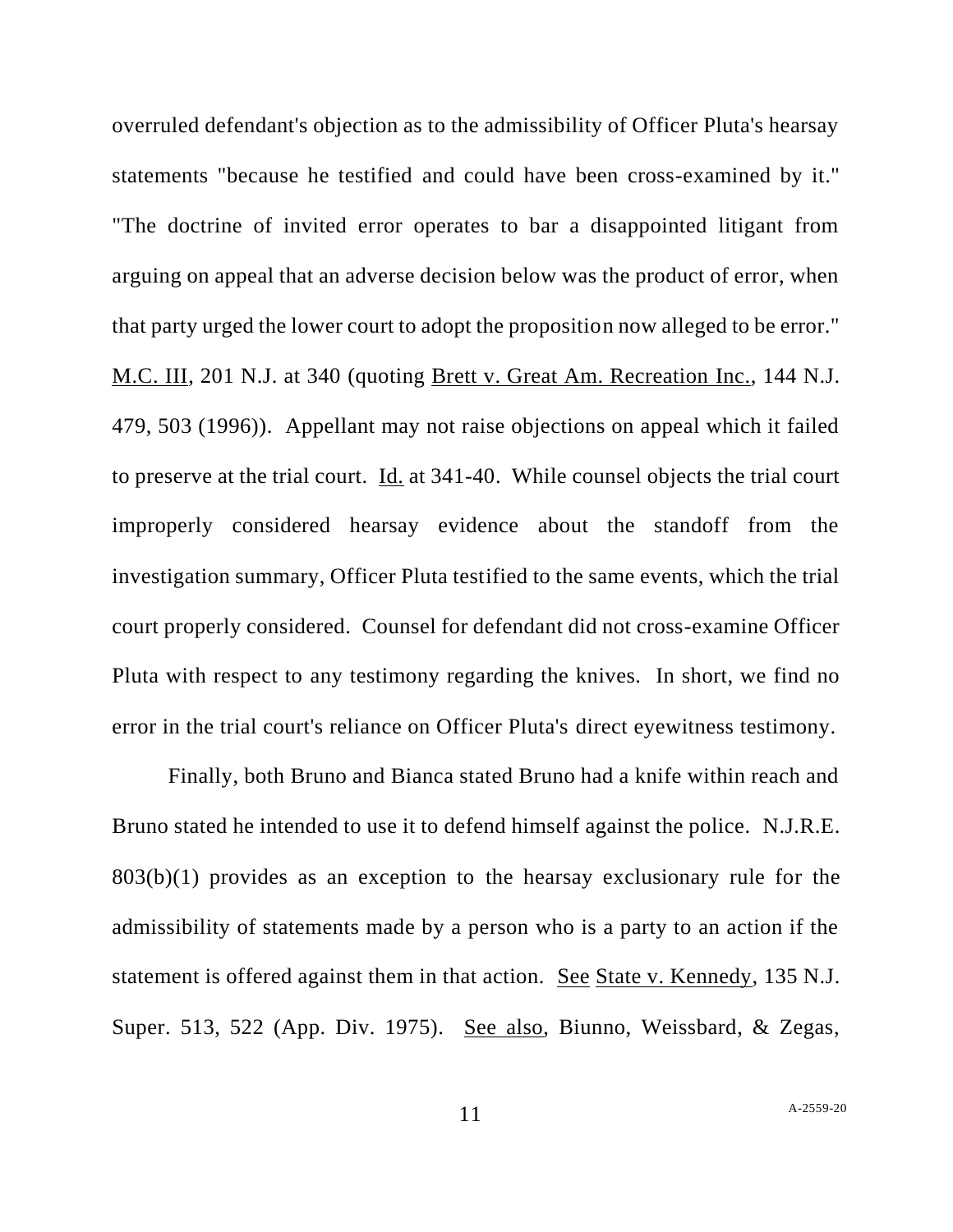overruled defendant's objection as to the admissibility of Officer Pluta's hearsay statements "because he testified and could have been cross-examined by it." "The doctrine of invited error operates to bar a disappointed litigant from arguing on appeal that an adverse decision below was the product of error, when that party urged the lower court to adopt the proposition now alleged to be error." M.C. III, 201 N.J. at 340 (quoting Brett v. Great Am. Recreation Inc., 144 N.J. 479, 503 (1996)). Appellant may not raise objections on appeal which it failed to preserve at the trial court. Id. at 341-40. While counsel objects the trial court improperly considered hearsay evidence about the standoff from the investigation summary, Officer Pluta testified to the same events, which the trial court properly considered. Counsel for defendant did not cross-examine Officer Pluta with respect to any testimony regarding the knives. In short, we find no error in the trial court's reliance on Officer Pluta's direct eyewitness testimony.

Finally, both Bruno and Bianca stated Bruno had a knife within reach and Bruno stated he intended to use it to defend himself against the police. N.J.R.E. 803(b)(1) provides as an exception to the hearsay exclusionary rule for the admissibility of statements made by a person who is a party to an action if the statement is offered against them in that action. See State v. Kennedy, 135 N.J. Super. 513, 522 (App. Div. 1975). See also, Biunno, Weissbard, & Zegas,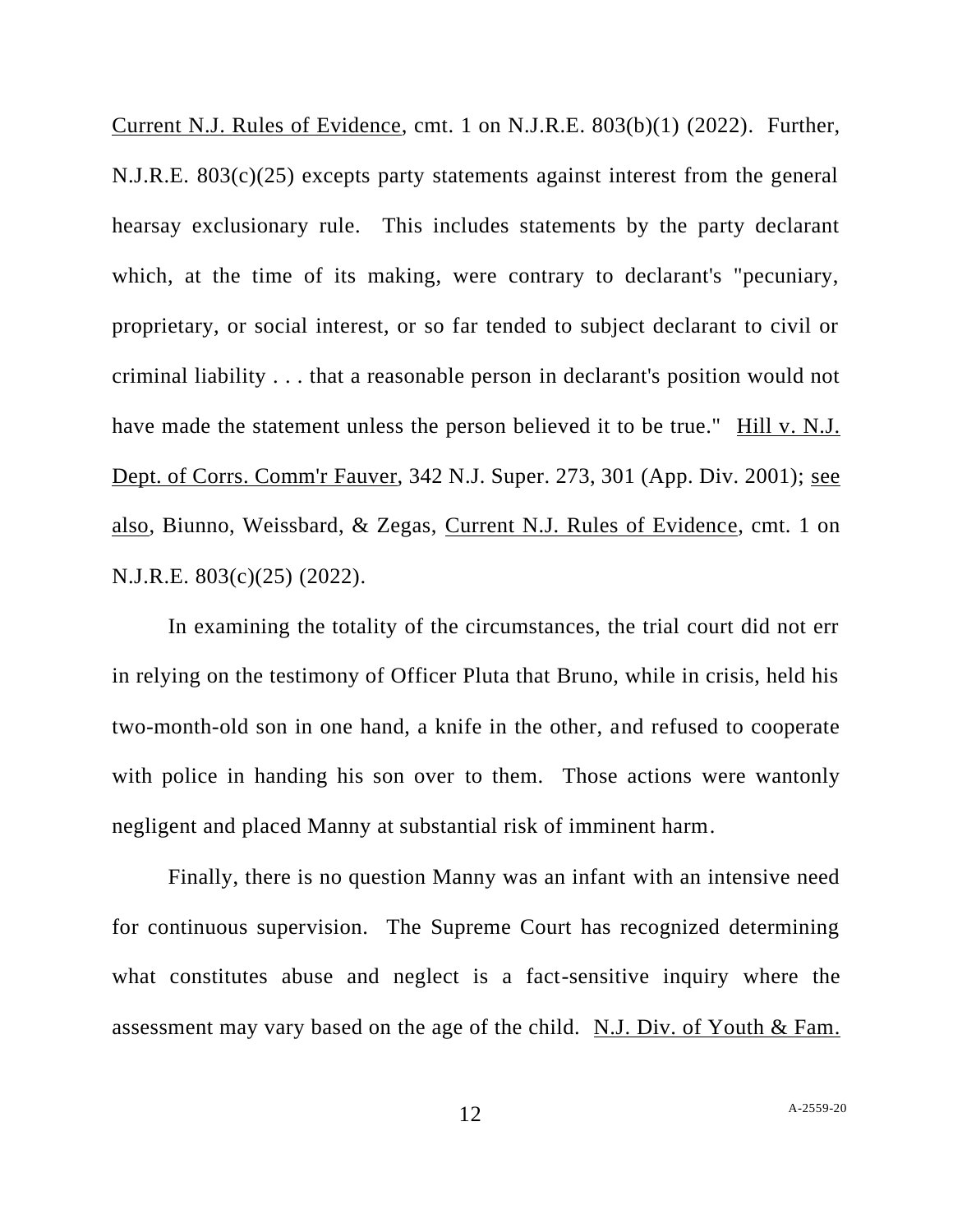Current N.J. Rules of Evidence, cmt. 1 on N.J.R.E. 803(b)(1) (2022). Further, N.J.R.E. 803(c)(25) excepts party statements against interest from the general hearsay exclusionary rule. This includes statements by the party declarant which, at the time of its making, were contrary to declarant's "pecuniary, proprietary, or social interest, or so far tended to subject declarant to civil or criminal liability . . . that a reasonable person in declarant's position would not have made the statement unless the person believed it to be true." Hill v. N.J. Dept. of Corrs. Comm'r Fauver, 342 N.J. Super. 273, 301 (App. Div. 2001); see also, Biunno, Weissbard, & Zegas, Current N.J. Rules of Evidence, cmt. 1 on N.J.R.E. 803(c)(25) (2022).

In examining the totality of the circumstances, the trial court did not err in relying on the testimony of Officer Pluta that Bruno, while in crisis, held his two-month-old son in one hand, a knife in the other, and refused to cooperate with police in handing his son over to them. Those actions were wantonly negligent and placed Manny at substantial risk of imminent harm.

Finally, there is no question Manny was an infant with an intensive need for continuous supervision. The Supreme Court has recognized determining what constitutes abuse and neglect is a fact-sensitive inquiry where the assessment may vary based on the age of the child. [N.J. Div. of Youth & Fam.](http://www.lexis.com/research/buttonTFLink?_m=1cc55a29b9c605ba2f5df4bb2e9d2975&_xfercite=%3ccite%20cc%3d%22USA%22%3e%3c%21%5bCDATA%5b2012%20N.J.%20Super.%20Unpub.%20LEXIS%20213%5d%5d%3e%3c%2fcite%3e&_butType=3&_butStat=2&_butNum=26&_butInline=1&_butinfo=%3ccite%20cc%3d%22USA%22%3e%3c%21%5bCDATA%5b205%20N.J.%2017%2c%2033%5d%5d%3e%3c%2fcite%3e&_fmtstr=FULL&docnum=4&_startdoc=1&wchp=dGLbVzt-zSkAb&_md5=8f9f1ea7bde8d02e07d3fc58b45b4d24)